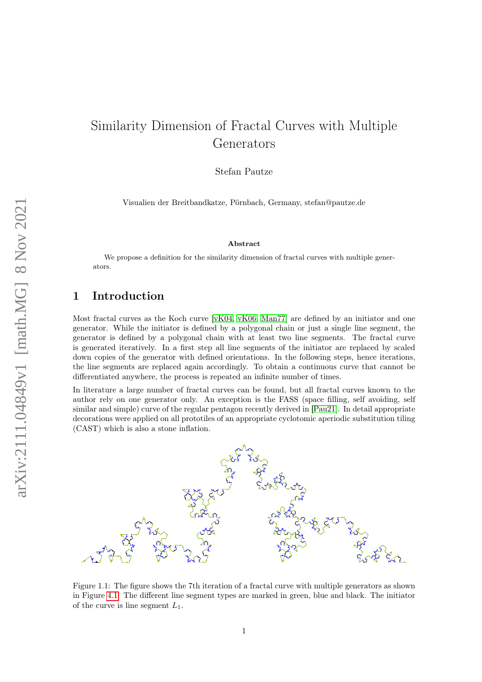# Similarity Dimension of Fractal Curves with Multiple Generators

Stefan Pautze

Visualien der Breitbandkatze, Pörnbach, Germany, stefan@pautze.de

#### Abstract

We propose a definition for the similarity dimension of fractal curves with multiple generators.

# 1 Introduction

Most fractal curves as the Koch curve [\[vK04,](#page-6-0) [vK06,](#page-6-1) [Man77\]](#page-6-2) are defined by an initiator and one generator. While the initiator is defined by a polygonal chain or just a single line segment, the generator is defined by a polygonal chain with at least two line segments. The fractal curve is generated iteratively. In a first step all line segments of the initiator are replaced by scaled down copies of the generator with defined orientations. In the following steps, hence iterations, the line segments are replaced again accordingly. To obtain a continuous curve that cannot be differentiated anywhere, the process is repeated an infinite number of times.

In literature a large number of fractal curves can be found, but all fractal curves known to the author rely on one generator only. An exception is the FASS (space filling, self avoiding, self similar and simple) curve of the regular pentagon recently derived in [\[Pau21\]](#page-6-3). In detail appropriate decorations were applied on all prototiles of an appropriate cyclotomic aperiodic substitution tiling (CAST) which is also a stone inflation.



<span id="page-0-0"></span>Figure 1.1: The figure shows the 7th iteration of a fractal curve with multiple generators as shown in Figure [4.1.](#page-0-0) The different line segment types are marked in green, blue and black. The initiator of the curve is line segment  $L_1$ .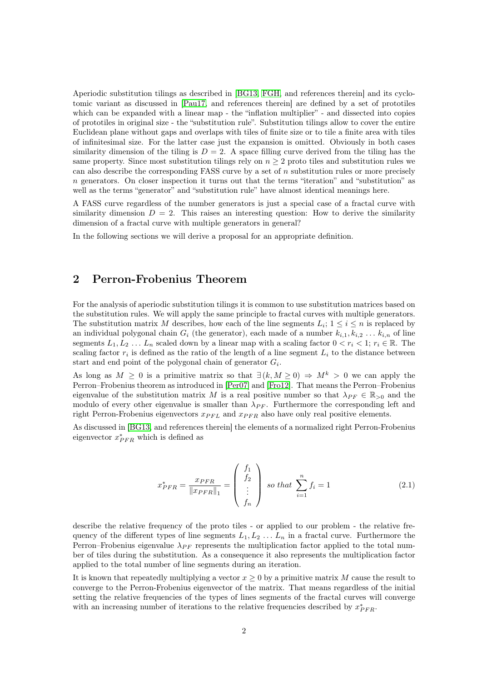Aperiodic substitution tilings as described in [\[BG13,](#page-6-4) [FGH,](#page-6-5) and references therein] and its cyclotomic variant as discussed in [\[Pau17,](#page-6-6) and references therein] are defined by a set of prototiles which can be expanded with a linear map - the "inflation multiplier" - and dissected into copies of prototiles in original size - the "substitution rule". Substitution tilings allow to cover the entire Euclidean plane without gaps and overlaps with tiles of finite size or to tile a finite area with tiles of infinitesimal size. For the latter case just the expansion is omitted. Obviously in both cases similarity dimension of the tiling is  $D = 2$ . A space filling curve derived from the tiling has the same property. Since most substitution tilings rely on  $n \geq 2$  proto tiles and substitution rules we can also describe the corresponding FASS curve by a set of  $n$  substitution rules or more precisely n generators. On closer inspection it turns out that the terms "iteration" and "substitution" as well as the terms "generator" and "substitution rule" have almost identical meanings here.

A FASS curve regardless of the number generators is just a special case of a fractal curve with similarity dimension  $D = 2$ . This raises an interesting question: How to derive the similarity dimension of a fractal curve with multiple generators in general?

In the following sections we will derive a proposal for an appropriate definition.

# <span id="page-1-0"></span>2 Perron-Frobenius Theorem

For the analysis of aperiodic substitution tilings it is common to use substitution matrices based on the substitution rules. We will apply the same principle to fractal curves with multiple generators. The substitution matrix M describes, how each of the line segments  $L_i$ ;  $1 \leq i \leq n$  is replaced by an individual polygonal chain  $G_i$  (the generator), each made of a number  $k_{i,1}, k_{i,2} \ldots k_{i,n}$  of line segments  $L_1, L_2, \ldots, L_n$  scaled down by a linear map with a scaling factor  $0 < r_i < 1$ ;  $r_i \in \mathbb{R}$ . The scaling factor  $r_i$  is defined as the ratio of the length of a line segment  $L_i$  to the distance between start and end point of the polygonal chain of generator  $G_i$ .

As long as  $M \geq 0$  is a primitive matrix so that  $\exists (k, M \geq 0) \Rightarrow M^k > 0$  we can apply the Perron–Frobenius theorem as introduced in [\[Per07\]](#page-6-7) and [\[Fro12\]](#page-6-8). That means the Perron–Frobenius eigenvalue of the substitution matrix M is a real positive number so that  $\lambda_{PF} \in \mathbb{R}_{>0}$  and the modulo of every other eigenvalue is smaller than  $\lambda_{PF}$ . Furthermore the corresponding left and right Perron-Frobenius eigenvectors  $x_{PFL}$  and  $x_{PFR}$  also have only real positive elements.

As discussed in [\[BG13,](#page-6-4) and references therein] the elements of a normalized right Perron-Frobenius eigenvector  $x^*_{PFR}$  which is defined as

$$
x_{PFR}^{*} = \frac{x_{PFR}}{\|x_{PFR}\|_{1}} = \begin{pmatrix} f_{1} \\ f_{2} \\ \vdots \\ f_{n} \end{pmatrix} \text{ so that } \sum_{i=1}^{n} f_{i} = 1 \tag{2.1}
$$

describe the relative frequency of the proto tiles - or applied to our problem - the relative frequency of the different types of line segments  $L_1, L_2, \ldots, L_n$  in a fractal curve. Furthermore the Perron–Frobenius eigenvalue  $\lambda_{PF}$  represents the multiplication factor applied to the total number of tiles during the substitution. As a consequence it also represents the multiplication factor applied to the total number of line segments during an iteration.

It is known that repeatedly multiplying a vector  $x \geq 0$  by a primitive matrix M cause the result to converge to the Perron-Frobenius eigenvector of the matrix. That means regardless of the initial setting the relative frequencies of the types of lines segments of the fractal curves will converge with an increasing number of iterations to the relative frequencies described by  $x^*_{PFR}$ .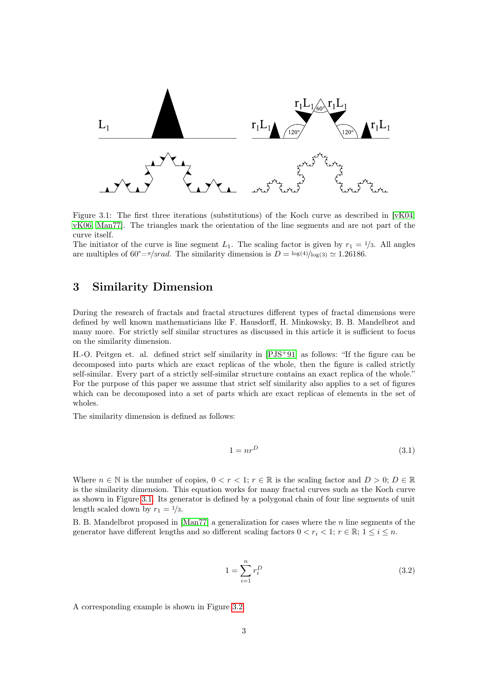

Figure 3.1: The first three iterations (substitutions) of the Koch curve as described in [\[vK04,](#page-6-0) [vK06,](#page-6-1) [Man77\]](#page-6-2). The triangles mark the orientation of the line segments and are not part of the curve itself.

The initiator of the curve is line segment  $L_1$ . The scaling factor is given by  $r_1 = 1/3$ . All angles are multiples of  $60^{\circ} = \pi/3rad$ . The similarity dimension is  $D = \frac{\log(4)}{\log(3)} \approx 1.26186$ .

# 3 Similarity Dimension

During the research of fractals and fractal structures different types of fractal dimensions were defined by well known mathematicians like F. Hausdorff, H. Minkowsky, B. B. Mandelbrot and many more. For strictly self similar structures as discussed in this article it is sufficient to focus on the similarity dimension.

H.-O. Peitgen et. al. defined strict self similarity in [\[PJS](#page-6-9)+91] as follows: "If the figure can be decomposed into parts which are exact replicas of the whole, then the figure is called strictly self-similar. Every part of a strictly self-similar structure contains an exact replica of the whole." For the purpose of this paper we assume that strict self similarity also applies to a set of figures which can be decomposed into a set of parts which are exact replicas of elements in the set of wholes.

The similarity dimension is defined as follows:

$$
1 = nr^D \tag{3.1}
$$

Where  $n \in \mathbb{N}$  is the number of copies,  $0 < r < 1$ ;  $r \in \mathbb{R}$  is the scaling factor and  $D > 0$ ;  $D \in \mathbb{R}$ is the similarity dimension. This equation works for many fractal curves such as the Koch curve as shown in Figure [3.1.](#page-0-0) Its generator is defined by a polygonal chain of four line segments of unit length scaled down by  $r_1 = \frac{1}{3}$ .

B. B. Mandelbrot proposed in [\[Man77\]](#page-6-2) a generalization for cases where the n line segments of the generator have different lengths and so different scaling factors  $0 < r_i < 1$ ;  $r \in \mathbb{R}$ ;  $1 \le i \le n$ .

$$
1 = \sum_{i=1}^{n} r_i^D \tag{3.2}
$$

A corresponding example is shown in Figure [3.2.](#page-3-0)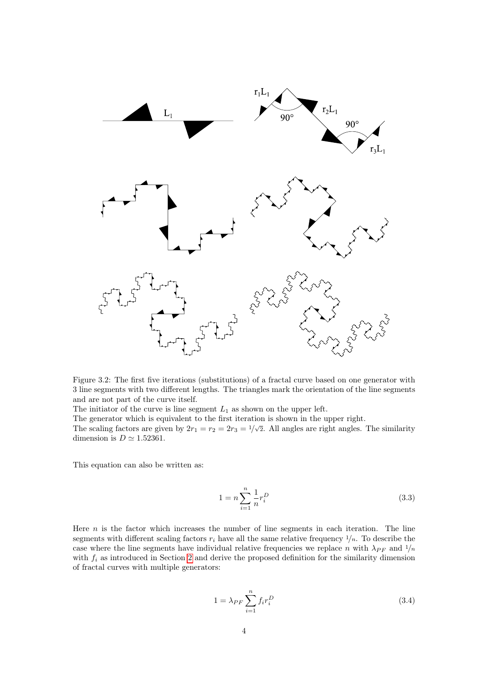

<span id="page-3-0"></span>Figure 3.2: The first five iterations (substitutions) of a fractal curve based on one generator with 3 line segments with two different lengths. The triangles mark the orientation of the line segments and are not part of the curve itself.

The initiator of the curve is line segment  $L_1$  as shown on the upper left.

The generator which is equivalent to the first iteration is shown in the upper right.

The scaling factors are given by  $2r_1 = r_2 = 2r_3 = 1/\sqrt{2}$ . All angles are right angles. The similarity dimension is  $D \simeq 1.52361$ .

This equation can also be written as:

$$
1 = n \sum_{i=1}^{n} \frac{1}{n} r_i^D
$$
\n(3.3)

Here n is the factor which increases the number of line segments in each iteration. The line segments with different scaling factors  $r_i$  have all the same relative frequency  $1/n$ . To describe the case where the line segments have individual relative frequencies we replace n with  $\lambda_{PF}$  and  $1/n$ with  $f_i$  as introduced in Section [2](#page-1-0) and derive the proposed definition for the similarity dimension of fractal curves with multiple generators:

<span id="page-3-1"></span>
$$
1 = \lambda_{PF} \sum_{i=1}^{n} f_i r_i^D \tag{3.4}
$$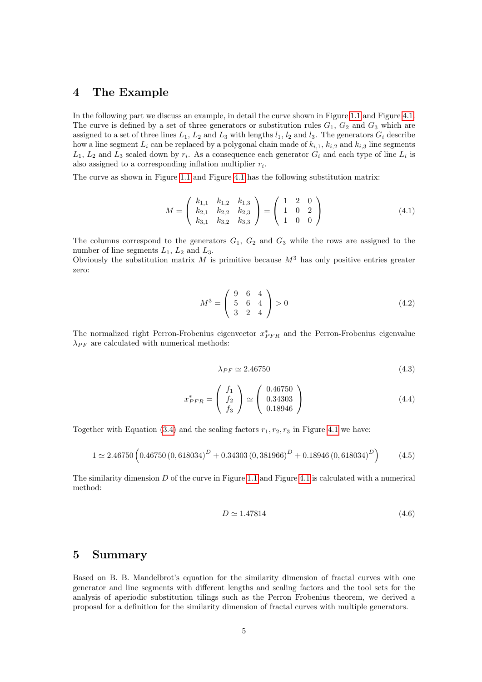## <span id="page-4-0"></span>4 The Example

In the following part we discuss an example, in detail the curve shown in Figure [1.1](#page-0-0) and Figure [4.1.](#page-0-0) The curve is defined by a set of three generators or substitution rules  $G_1$ ,  $G_2$  and  $G_3$  which are assigned to a set of three lines  $L_1$ ,  $L_2$  and  $L_3$  with lengths  $l_1$ ,  $l_2$  and  $l_3$ . The generators  $G_i$  describe how a line segment  $L_i$  can be replaced by a polygonal chain made of  $k_{i,1}$ ,  $k_{i,2}$  and  $k_{i,3}$  line segments  $L_1, L_2$  and  $L_3$  scaled down by  $r_i$ . As a consequence each generator  $G_i$  and each type of line  $L_i$  is also assigned to a corresponding inflation multiplier  $r_i$ .

The curve as shown in Figure [1.1](#page-0-0) and Figure [4.1](#page-0-0) has the following substitution matrix:

$$
M = \begin{pmatrix} k_{1,1} & k_{1,2} & k_{1,3} \\ k_{2,1} & k_{2,2} & k_{2,3} \\ k_{3,1} & k_{3,2} & k_{3,3} \end{pmatrix} = \begin{pmatrix} 1 & 2 & 0 \\ 1 & 0 & 2 \\ 1 & 0 & 0 \end{pmatrix}
$$
(4.1)

The columns correspond to the generators  $G_1$ ,  $G_2$  and  $G_3$  while the rows are assigned to the number of line segments  $L_1$ ,  $L_2$  and  $L_3$ .

Obviously the substitution matrix  $M$  is primitive because  $M^3$  has only positive entries greater zero:

$$
M^3 = \begin{pmatrix} 9 & 6 & 4 \\ 5 & 6 & 4 \\ 3 & 2 & 4 \end{pmatrix} > 0
$$
 (4.2)

The normalized right Perron-Frobenius eigenvector  $x^*_{PFR}$  and the Perron-Frobenius eigenvalue  $\lambda_{PF}$  are calculated with numerical methods:

$$
\lambda_{PF} \simeq 2.46750\tag{4.3}
$$

$$
x_{PFR}^* = \begin{pmatrix} f_1 \\ f_2 \\ f_3 \end{pmatrix} \simeq \begin{pmatrix} 0.46750 \\ 0.34303 \\ 0.18946 \end{pmatrix}
$$
 (4.4)

Together with Equation [\(3.4\)](#page-3-1) and the scaling factors  $r_1, r_2, r_3$  in Figure [4.1](#page-0-0) we have:

$$
1 \simeq 2.46750 \left( 0.46750 \left( 0,618034 \right)^{D} + 0.34303 \left( 0,381966 \right)^{D} + 0.18946 \left( 0,618034 \right)^{D} \right) \tag{4.5}
$$

The similarity dimension  $D$  of the curve in Figure [1.1](#page-0-0) and Figure [4.1](#page-0-0) is calculated with a numerical method:

$$
D \simeq 1.47814\tag{4.6}
$$

#### 5 Summary

Based on B. B. Mandelbrot's equation for the similarity dimension of fractal curves with one generator and line segments with different lengths and scaling factors and the tool sets for the analysis of aperiodic substitution tilings such as the Perron Frobenius theorem, we derived a proposal for a definition for the similarity dimension of fractal curves with multiple generators.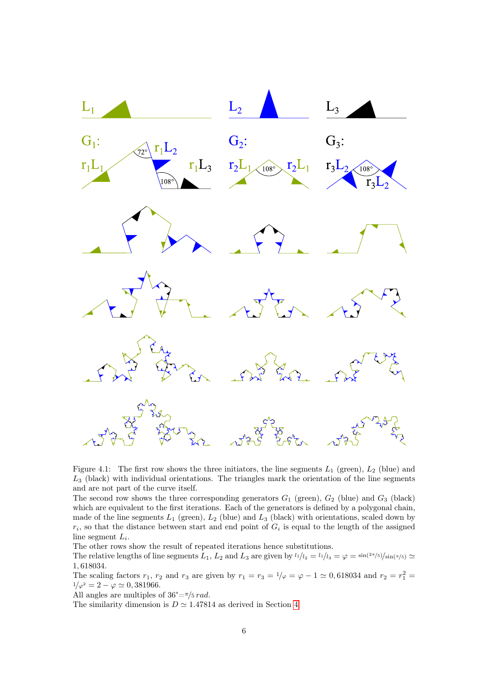



The second row shows the three corresponding generators  $G_1$  (green),  $G_2$  (blue) and  $G_3$  (black) which are equivalent to the first iterations. Each of the generators is defined by a polygonal chain, made of the line segments  $L_1$  (green),  $L_2$  (blue) and  $L_3$  (black) with orientations, scaled down by  $r_i$ , so that the distance between start and end point of  $G_i$  is equal to the length of the assigned line segment  $L_i$ .

The other rows show the result of repeated iterations hence substitutions.

The relative lengths of line segments  $L_1$ ,  $L_2$  and  $L_3$  are given by  $l_1/l_2 = l_1/l_3 = \varphi = \frac{\sin(2\pi/5)}{\sin(2\pi/5)} \approx$ 1, 618034.

The scaling factors  $r_1$ ,  $r_2$  and  $r_3$  are given by  $r_1 = r_3 = 1/\varphi = \varphi - 1 \simeq 0,618034$  and  $r_2 = r_1^2 =$  $1/\varphi^2 = 2 - \varphi \simeq 0,381966.$ 

All angles are multiples of  $36^\circ = \pi/5 \, rad$ .

The similarity dimension is  $D \simeq 1.47814$  as derived in Section [4.](#page-4-0)